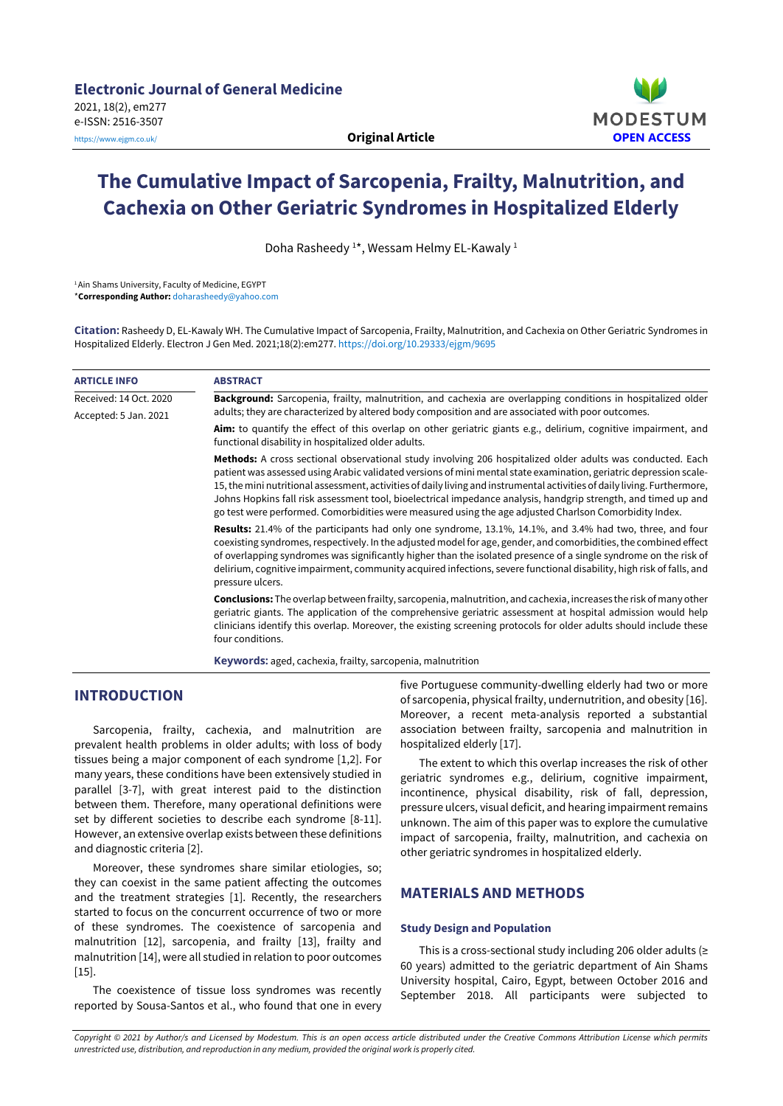

# **The Cumulative Impact of Sarcopenia, Frailty, Malnutrition, and Cachexia on Other Geriatric Syndromes in Hospitalized Elderly**

Doha Rasheedy <sup>1</sup>\*, Wessam Helmy EL-Kawaly <sup>1</sup>

1Ain Shams University, Faculty of Medicine, EGYPT \***Corresponding Author:** [doharasheedy@yahoo.com](mailto:doharasheedy@yahoo.com)

**Citation:** Rasheedy D, EL-Kawaly WH. The Cumulative Impact of Sarcopenia, Frailty, Malnutrition, and Cachexia on Other Geriatric Syndromes in Hospitalized Elderly. Electron J Gen Med. 2021;18(2):em277. <https://doi.org/10.29333/ejgm/9695>

| <b>ARTICLE INFO</b>                             | <b>ABSTRACT</b>                                                                                                                                                                                                                                                                                                                                                                                                                                                                                                                                                                           |
|-------------------------------------------------|-------------------------------------------------------------------------------------------------------------------------------------------------------------------------------------------------------------------------------------------------------------------------------------------------------------------------------------------------------------------------------------------------------------------------------------------------------------------------------------------------------------------------------------------------------------------------------------------|
| Received: 14 Oct. 2020<br>Accepted: 5 Jan. 2021 | Background: Sarcopenia, frailty, malnutrition, and cachexia are overlapping conditions in hospitalized older<br>adults; they are characterized by altered body composition and are associated with poor outcomes.                                                                                                                                                                                                                                                                                                                                                                         |
|                                                 | <b>Aim:</b> to quantify the effect of this overlap on other geriatric giants e.g., delirium, cognitive impairment, and<br>functional disability in hospitalized older adults.                                                                                                                                                                                                                                                                                                                                                                                                             |
|                                                 | Methods: A cross sectional observational study involving 206 hospitalized older adults was conducted. Each<br>patient was assessed using Arabic validated versions of mini mental state examination, geriatric depression scale-<br>15, the mini nutritional assessment, activities of daily living and instrumental activities of daily living. Furthermore,<br>Johns Hopkins fall risk assessment tool, bioelectrical impedance analysis, handgrip strength, and timed up and<br>go test were performed. Comorbidities were measured using the age adjusted Charlson Comorbidity Index. |
|                                                 | <b>Results:</b> 21.4% of the participants had only one syndrome, 13.1%, 14.1%, and 3.4% had two, three, and four<br>coexisting syndromes, respectively. In the adjusted model for age, gender, and comorbidities, the combined effect<br>of overlapping syndromes was significantly higher than the isolated presence of a single syndrome on the risk of<br>delirium, cognitive impairment, community acquired infections, severe functional disability, high risk of falls, and<br>pressure ulcers.                                                                                     |
|                                                 | <b>Conclusions:</b> The overlap between frailty, sarcopenia, malnutrition, and cachexia, increases the risk of many other<br>geriatric giants. The application of the comprehensive geriatric assessment at hospital admission would help<br>clinicians identify this overlap. Moreover, the existing screening protocols for older adults should include these<br>four conditions.                                                                                                                                                                                                       |
|                                                 | <b>Keywords:</b> aged, cachexia, frailty, sarcopenia, malnutrition                                                                                                                                                                                                                                                                                                                                                                                                                                                                                                                        |

# **INTRODUCTION**

Sarcopenia, frailty, cachexia, and malnutrition are prevalent health problems in older adults; with loss of body tissues being a major component of each syndrome [1,2]. For many years, these conditions have been extensively studied in parallel [3-7], with great interest paid to the distinction between them. Therefore, many operational definitions were set by different societies to describe each syndrome [8-11]. However, an extensive overlap exists between these definitions and diagnostic criteria [2].

Moreover, these syndromes share similar etiologies, so; they can coexist in the same patient affecting the outcomes and the treatment strategies [1]. Recently, the researchers started to focus on the concurrent occurrence of two or more of these syndromes. The coexistence of sarcopenia and malnutrition [12], sarcopenia, and frailty [13], frailty and malnutrition [14], were all studied in relation to poor outcomes  $[15]$ .

The coexistence of tissue loss syndromes was recently reported by Sousa-Santos et al., who found that one in every five Portuguese community-dwelling elderly had two or more of sarcopenia, physical frailty, undernutrition, and obesity [16]. Moreover, a recent meta-analysis reported a substantial association between frailty, sarcopenia and malnutrition in hospitalized elderly [17].

The extent to which this overlap increases the risk of other geriatric syndromes e.g., delirium, cognitive impairment, incontinence, physical disability, risk of fall, depression, pressure ulcers, visual deficit, and hearing impairment remains unknown. The aim of this paper was to explore the cumulative impact of sarcopenia, frailty, malnutrition, and cachexia on other geriatric syndromes in hospitalized elderly.

# **MATERIALS AND METHODS**

### **Study Design and Population**

This is a cross-sectional study including 206 older adults (≥ 60 years) admitted to the geriatric department of Ain Shams University hospital, Cairo, Egypt, between October 2016 and September 2018. All participants were subjected to

Copyright © 2021 by Author/s and Licensed by Modestum. This is an open access article distributed under the Creative Commons Attribution License which permits *unrestricted use, distribution, and reproduction in any medium, provided the original work is properly cited.*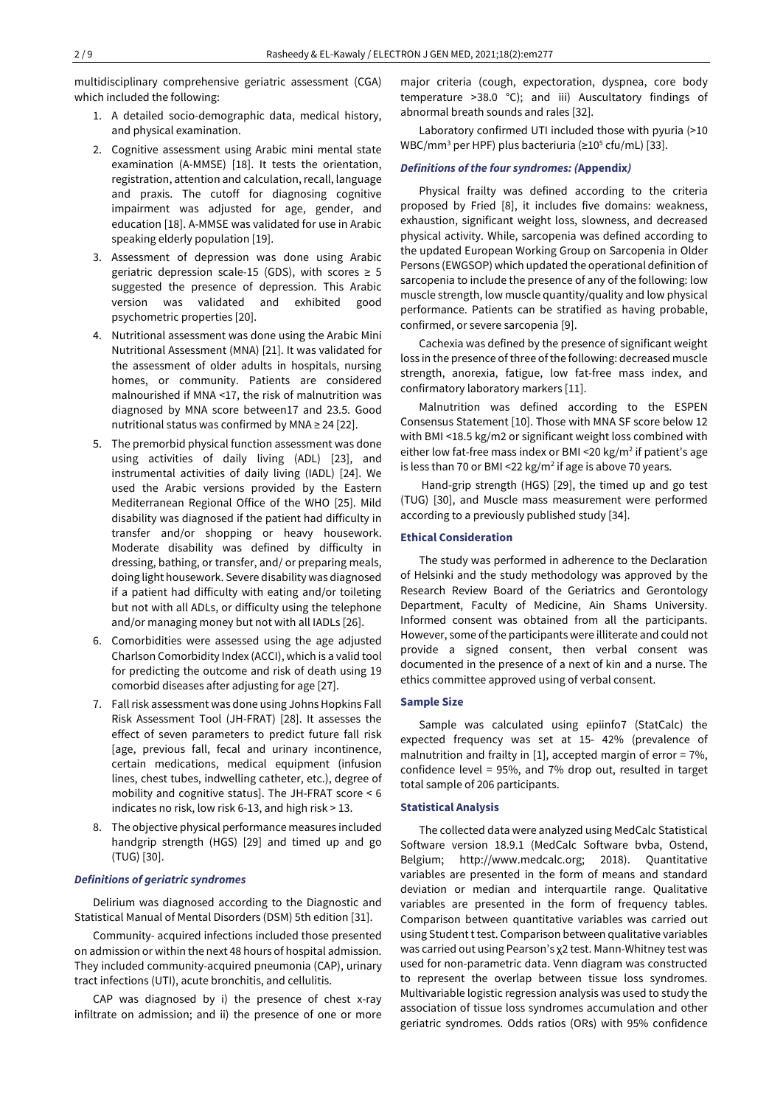multidisciplinary comprehensive geriatric assessment (CGA) which included the following:

- 1. A detailed socio-demographic data, medical history, and physical examination.
- 2. Cognitive assessment using Arabic mini mental state examination (A-MMSE) [18]. It tests the orientation, registration, attention and calculation, recall, language and praxis. The cutoff for diagnosing cognitive impairment was adjusted for age, gender, and education [18]. A-MMSE was validated for use in Arabic speaking elderly population [19].
- 3. Assessment of depression was done using Arabic geriatric depression scale-15 (GDS), with scores  $\geq 5$ suggested the presence of depression. This Arabic version was validated and exhibited good psychometric properties [20].
- 4. Nutritional assessment was done using the Arabic Mini Nutritional Assessment (MNA) [21]. It was validated for the assessment of older adults in hospitals, nursing homes, or community. Patients are considered malnourished if MNA <17, the risk of malnutrition was diagnosed by MNA score between17 and 23.5. Good nutritional status was confirmed by MNA ≥ 24 [22].
- 5. The premorbid physical function assessment was done using activities of daily living (ADL) [23], and instrumental activities of daily living (IADL) [24]. We used the Arabic versions provided by the Eastern Mediterranean Regional Office of the WHO [25]. Mild disability was diagnosed if the patient had difficulty in transfer and/or shopping or heavy housework. Moderate disability was defined by difficulty in dressing, bathing, or transfer, and/ or preparing meals, doing light housework. Severe disability was diagnosed if a patient had difficulty with eating and/or toileting but not with all ADLs, or difficulty using the telephone and/or managing money but not with all IADLs [26].
- 6. Comorbidities were assessed using the age adjusted Charlson Comorbidity Index (ACCI), which is a valid tool for predicting the outcome and risk of death using 19 comorbid diseases after adjusting for age [27].
- 7. Fallrisk assessment was done using Johns Hopkins Fall Risk Assessment Tool (JH-FRAT) [28]. It assesses the effect of seven parameters to predict future fall risk [age, previous fall, fecal and urinary incontinence, certain medications, medical equipment (infusion lines, chest tubes, indwelling catheter, etc.), degree of mobility and cognitive status]. The JH-FRAT score < 6 indicates no risk, low risk 6-13, and high risk > 13.
- 8. The objective physical performance measures included handgrip strength (HGS) [29] and timed up and go (TUG) [30].

#### *Definitions of geriatric syndromes*

Delirium was diagnosed according to the Diagnostic and Statistical Manual of Mental Disorders (DSM) 5th edition [31].

Community- acquired infections included those presented on admission or within the next 48 hours of hospital admission. They included community-acquired pneumonia (CAP), urinary tract infections (UTI), acute bronchitis, and cellulitis.

CAP was diagnosed by i) the presence of chest x-ray infiltrate on admission; and ii) the presence of one or more major criteria (cough, expectoration, dyspnea, core body temperature >38.0 °C); and iii) Auscultatory findings of abnormal breath sounds and rales [32].

Laboratory confirmed UTI included those with pyuria (>10 WBC/mm<sup>3</sup> per HPF) plus bacteriuria ( $\geq 10^5$  cfu/mL) [33].

#### *Definitions of the four syndromes: (***Appendix***)*

Physical frailty was defined according to the criteria proposed by Fried [8], it includes five domains: weakness, exhaustion, significant weight loss, slowness, and decreased physical activity. While, sarcopenia was defined according to the updated European Working Group on Sarcopenia in Older Persons (EWGSOP) which updated the operational definition of sarcopenia to include the presence of any of the following: low muscle strength, low muscle quantity/quality and low physical performance. Patients can be stratified as having probable, confirmed, or severe sarcopenia [9].

Cachexia was defined by the presence of significant weight loss in the presence of three of the following: decreased muscle strength, anorexia, fatigue, low fat-free mass index, and confirmatory laboratory markers [11].

Malnutrition was defined according to the ESPEN Consensus Statement [10]. Those with MNA SF score below 12 with BMI <18.5 kg/m2 or significant weight loss combined with either low fat-free mass index or BMI <20 kg/m<sup>2</sup> if patient's age is less than 70 or BMI <22 kg/m<sup>2</sup> if age is above 70 years.

Hand-grip strength (HGS) [29], the timed up and go test (TUG) [30], and Muscle mass measurement were performed according to a previously published study [34].

#### **Ethical Consideration**

The study was performed in adherence to the Declaration of Helsinki and the study methodology was approved by the Research Review Board of the Geriatrics and Gerontology Department, Faculty of Medicine, Ain Shams University. Informed consent was obtained from all the participants. However, some of the participants were illiterate and could not provide a signed consent, then verbal consent was documented in the presence of a next of kin and a nurse. The ethics committee approved using of verbal consent.

#### **Sample Size**

Sample was calculated using epiinfo7 (StatCalc) the expected frequency was set at 15- 42% (prevalence of malnutrition and frailty in [1], accepted margin of error = 7%, confidence level = 95%, and 7% drop out, resulted in target total sample of 206 participants.

#### **Statistical Analysis**

The collected data were analyzed using MedCalc Statistical Software version 18.9.1 (MedCalc Software bvba, Ostend, Belgium; http://www.medcalc.org; 2018). Quantitative variables are presented in the form of means and standard deviation or median and interquartile range. Qualitative variables are presented in the form of frequency tables. Comparison between quantitative variables was carried out using Student t test. Comparison between qualitative variables was carried out using Pearson's χ2 test. Mann-Whitney test was used for non-parametric data. Venn diagram was constructed to represent the overlap between tissue loss syndromes. Multivariable logistic regression analysis was used to study the association of tissue loss syndromes accumulation and other geriatric syndromes. Odds ratios (ORs) with 95% confidence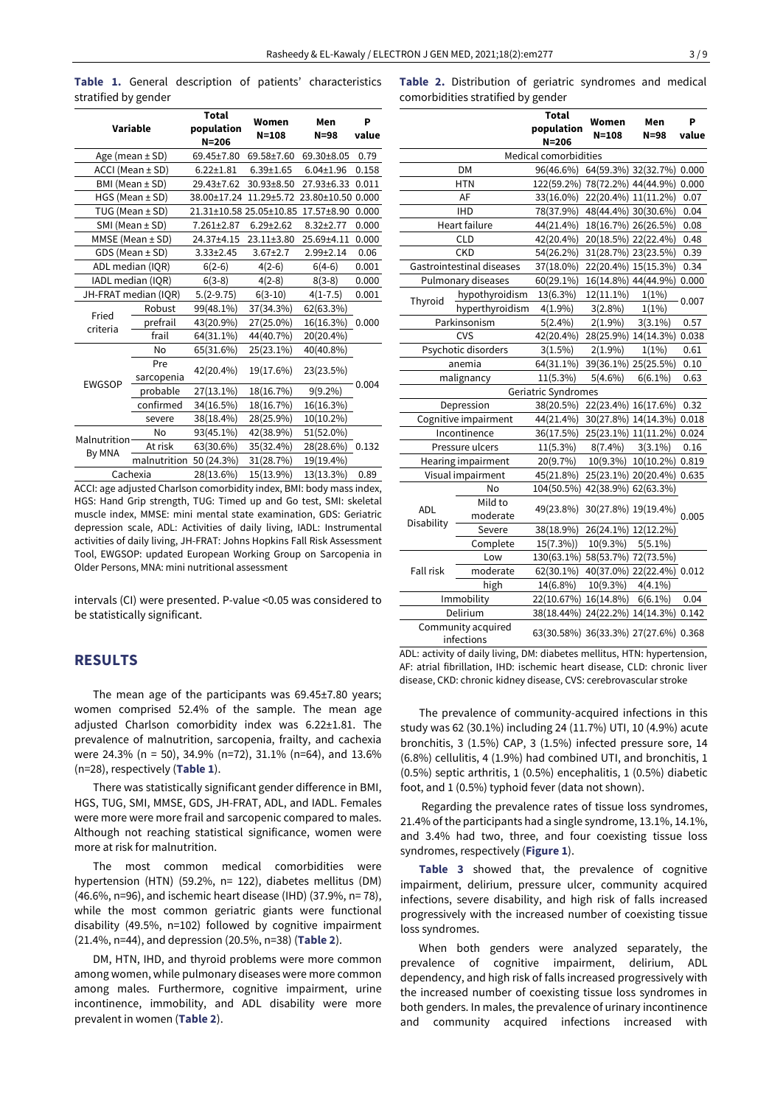**Table 1.** General description of patients' characteristics stratified by gender

| Variable               |                   | <b>Total</b><br>population<br>$N = 206$ | Women<br>$N = 108$ | Men<br>$N = 98$ | P<br>value |  |
|------------------------|-------------------|-----------------------------------------|--------------------|-----------------|------------|--|
| Age (mean $\pm$ SD)    |                   | 69.45±7.80                              | 69.58±7.60         | 69.30±8.05      | 0.79       |  |
| ACCI (Mean ± SD)       |                   | $6.22 \pm 1.81$                         | $6.39 \pm 1.65$    | $6.04 \pm 1.96$ | 0.158      |  |
| $BMI$ (Mean $\pm$ SD)  |                   | 29.43±7.62                              | 30.93±8.50         | 27.93±6.33      | 0.011      |  |
| $HGS$ (Mean $\pm$ SD)  |                   | 38.00±17.24                             | 11.29±5.72         | 23.80±10.50     | 0.000      |  |
| TUG (Mean $\pm$ SD)    |                   | 21.31±10.58 25.05±10.85                 |                    | 17.57±8.90      | 0.000      |  |
| SMI (Mean ± SD)        |                   | $7.261 \pm 2.87$                        | $6.29 \pm 2.62$    | $8.32 \pm 2.77$ | 0.000      |  |
| MMSE (Mean ± SD)       |                   | 24.37±4.15                              | 23.11±3.80         | 25.69±4.11      | 0.000      |  |
| $GDS$ (Mean $\pm$ SD)  |                   | $3.33 \pm 2.45$                         | $3.67 \pm 2.7$     | 2.99±2.14       | 0.06       |  |
| ADL median (IQR)       |                   | $6(2-6)$                                | $4(2-6)$           | $6(4-6)$        | 0.001      |  |
| IADL median (IQR)      |                   | $6(3-8)$                                | $4(2-8)$           | $8(3-8)$        | 0.000      |  |
| JH-FRAT median (IQR)   |                   | $5.(2-9.75)$                            | $6(3-10)$          | $4(1 - 7.5)$    | 0.001      |  |
|                        | Robust            | 99(48.1%)                               | 37(34.3%)          | 62(63.3%)       |            |  |
| Fried<br>criteria      | prefrail          | 43(20.9%)                               | 27(25.0%)          | 16(16.3%)       | 0.000      |  |
|                        | frail             | 64(31.1%)                               | 44(40.7%)          | 20(20.4%)       |            |  |
|                        | No                | 65(31.6%)                               | 25(23.1%)          | 40(40.8%)       |            |  |
| <b>EWGSOP</b>          | Pre<br>sarcopenia | 42(20.4%)                               | 19(17.6%)          | 23(23.5%)       |            |  |
|                        | probable          | 27(13.1%)                               | 18(16.7%)          | $9(9.2\%)$      | 0.004      |  |
|                        | confirmed         | 34(16.5%)                               | 18(16.7%)          | 16(16.3%)       |            |  |
|                        | severe            | 38(18.4%)                               | 28(25.9%)          | 10(10.2%)       |            |  |
| Malnutrition<br>By MNA | No                | 93(45.1%)                               | 42(38.9%)          | 51(52.0%)       |            |  |
|                        | At risk           | 63(30.6%)                               | 35(32.4%)          | 28(28.6%)       | 0.132      |  |
|                        | malnutrition      | 50 (24.3%)                              | 31(28.7%)          | 19(19.4%)       |            |  |
| Cachexia               |                   | 28(13.6%)                               | 15(13.9%)          | 13(13.3%)       | 0.89       |  |

ACCI: age adjusted Charlson comorbidity index, BMI: body mass index, HGS: Hand Grip strength, TUG: Timed up and Go test, SMI: skeletal muscle index, MMSE: mini mental state examination, GDS: Geriatric depression scale, ADL: Activities of daily living, IADL: Instrumental activities of daily living, JH-FRAT: Johns Hopkins Fall Risk Assessment Tool, EWGSOP: updated European Working Group on Sarcopenia in Older Persons, MNA: mini nutritional assessment

intervals (CI) were presented. P-value <0.05 was considered to be statistically significant.

## **RESULTS**

The mean age of the participants was 69.45±7.80 years; women comprised 52.4% of the sample. The mean age adjusted Charlson comorbidity index was 6.22±1.81. The prevalence of malnutrition, sarcopenia, frailty, and cachexia were 24.3% (n = 50), 34.9% (n=72), 31.1% (n=64), and 13.6% (n=28), respectively (**Table 1**).

There was statistically significant gender difference in BMI, HGS, TUG, SMI, MMSE, GDS, JH-FRAT, ADL, and IADL. Females were more were more frail and sarcopenic compared to males. Although not reaching statistical significance, women were more at risk for malnutrition.

The most common medical comorbidities were hypertension (HTN) (59.2%, n= 122), diabetes mellitus (DM) (46.6%, n=96), and ischemic heart disease (IHD) (37.9%, n= 78), while the most common geriatric giants were functional disability (49.5%, n=102) followed by cognitive impairment (21.4%, n=44), and depression (20.5%, n=38) (**Table 2**).

DM, HTN, IHD, and thyroid problems were more common among women, while pulmonary diseases were more common among males. Furthermore, cognitive impairment, urine incontinence, immobility, and ADL disability were more prevalent in women (**Table 2**).

**Table 2.** Distribution of geriatric syndromes and medical comorbidities stratified by gender

|                                  |                           | <b>Total</b><br>population<br>$N = 206$ | Women<br>$N = 108$  | Men<br>N=98         | P<br>value |
|----------------------------------|---------------------------|-----------------------------------------|---------------------|---------------------|------------|
|                                  |                           | Medical comorbidities                   |                     |                     |            |
|                                  | <b>DM</b>                 | 96(46.6%)                               |                     | 64(59.3%) 32(32.7%) | 0.000      |
|                                  | HTN                       | 122(59.2%)                              | 78(72.2%) 44(44.9%) |                     | 0.000      |
|                                  | AF                        | 33(16.0%)                               | 22(20.4%) 11(11.2%) |                     | 0.07       |
|                                  | <b>IHD</b>                | 78(37.9%)                               | 48(44.4%) 30(30.6%) |                     | 0.04       |
|                                  | <b>Heart failure</b>      | 44(21.4%)                               | 18(16.7%) 26(26.5%) |                     | 0.08       |
|                                  | <b>CLD</b>                | 42(20.4%)                               | 20(18.5%)           | 22(22.4%)           | 0.48       |
|                                  | <b>CKD</b>                | 54(26.2%)                               | 31(28.7%)           | 23(23.5%)           | 0.39       |
|                                  | Gastrointestinal diseases | 37(18.0%)                               | 22(20.4%)           | 15(15.3%)           | 0.34       |
|                                  | Pulmonary diseases        | 60(29.1%)                               |                     | 16(14.8%) 44(44.9%) | 0.000      |
|                                  | hypothyroidism            | 13(6.3%)                                | 12(11.1%)           | 1(1%)               |            |
| Thyroid                          | hyperthyroidism           | $4(1.9\%)$                              | $3(2.8\%)$          | 1(1%)               | 0.007      |
|                                  | Parkinsonism              | $5(2.4\%)$                              | $2(1.9\%)$          | $3(3.1\%)$          | 0.57       |
|                                  | <b>CVS</b>                | 42(20.4%)                               | 28(25.9%)           | 14(14.3%)           | 0.038      |
|                                  | Psychotic disorders       | 3(1.5%)                                 | 2(1.9%)             | 1(1%)               | 0.61       |
|                                  | anemia                    | 64(31.1%)                               | 39(36.1%) 25(25.5%) |                     | 0.10       |
|                                  | malignancy                | 11(5.3%)                                | $5(4.6\%)$          | $6(6.1\%)$          | 0.63       |
|                                  |                           | Geriatric Syndromes                     |                     |                     |            |
|                                  | Depression                | 38(20.5%)                               | 22(23.4%) 16(17.6%) |                     | 0.32       |
|                                  | Cognitive impairment      | 44(21.4%)                               | 30(27.8%)           | 14(14.3%)           | 0.018      |
|                                  | Incontinence              | 36(17.5%)                               | 25(23.1%)           | 11(11.2%)           | 0.024      |
|                                  | Pressure ulcers           | 11(5.3%)                                | $8(7.4\%)$          | $3(3.1\%)$          | 0.16       |
|                                  | Hearing impairment        | 20(9.7%)                                | 10(9.3%)            | 10(10.2%)           | 0.819      |
|                                  | Visual impairment         | 45(21.8%)                               | 25(23.1%)           | 20(20.4%)           | 0.635      |
|                                  | No                        | 104(50.5%)                              | 42(38.9%)           | 62(63.3%)           |            |
| <b>ADL</b>                       | Mild to<br>moderate       | 49(23.8%)                               | 30(27.8%) 19(19.4%) |                     | 0.005      |
| Disability                       | Severe                    | 38(18.9%)                               | 26(24.1%) 12(12.2%) |                     |            |
|                                  | Complete                  | 15(7.3%)                                | 10(9.3%)            | $5(5.1\%)$          |            |
| Fall risk                        | Low                       | 130(63.1%)                              | 58(53.7%)           | 72(73.5%)           |            |
|                                  | moderate                  | 62(30.1%)                               | 40(37.0%)           | 22(22.4%) 0.012     |            |
|                                  | high                      | 14(6.8%)                                | 10(9.3%)            | $4(4.1\%)$          |            |
| Immobility                       |                           | 22(10.67%)                              | 16(14.8%)           | $6(6.1\%)$          | 0.04       |
| Delirium                         |                           | 38(18.44%)                              |                     | 24(22.2%) 14(14.3%) | 0.142      |
| Community acquired<br>infections |                           | 63(30.58%) 36(33.3%) 27(27.6%) 0.368    |                     |                     |            |

ADL: activity of daily living, DM: diabetes mellitus, HTN: hypertension, AF: atrial fibrillation, IHD: ischemic heart disease, CLD: chronic liver disease, CKD: chronic kidney disease, CVS: cerebrovascular stroke

The prevalence of community-acquired infections in this study was 62 (30.1%) including 24 (11.7%) UTI, 10 (4.9%) acute bronchitis, 3 (1.5%) CAP, 3 (1.5%) infected pressure sore, 14 (6.8%) cellulitis, 4 (1.9%) had combined UTI, and bronchitis, 1 (0.5%) septic arthritis, 1 (0.5%) encephalitis, 1 (0.5%) diabetic foot, and 1 (0.5%) typhoid fever (data not shown).

Regarding the prevalence rates of tissue loss syndromes, 21.4% of the participants had a single syndrome, 13.1%, 14.1%, and 3.4% had two, three, and four coexisting tissue loss syndromes, respectively (**Figure 1**).

**Table 3** showed that, the prevalence of cognitive impairment, delirium, pressure ulcer, community acquired infections, severe disability, and high risk of falls increased progressively with the increased number of coexisting tissue loss syndromes.

When both genders were analyzed separately, the prevalence of cognitive impairment, delirium, ADL dependency, and high risk of falls increased progressively with the increased number of coexisting tissue loss syndromes in both genders. In males, the prevalence of urinary incontinence and community acquired infections increased with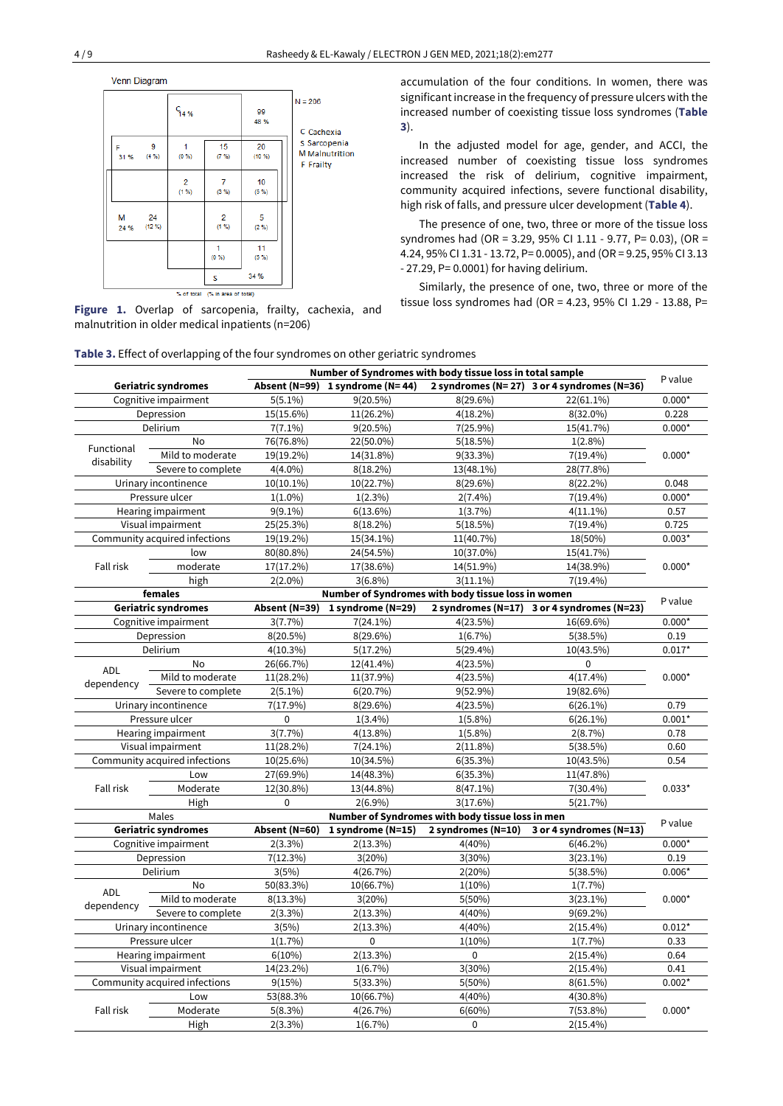



malnutrition in older medical inpatients (n=206)

accumulation of the four conditions. In women, there was significantincrease in the frequency of pressure ulcers with the increased number of coexisting tissue loss syndromes (**Table 3**).

In the adjusted model for age, gender, and ACCI, the increased number of coexisting tissue loss syndromes increased the risk of delirium, cognitive impairment, community acquired infections, severe functional disability, high risk of falls, and pressure ulcer development (**Table 4**).

The presence of one, two, three or more of the tissue loss syndromes had (OR = 3.29, 95% CI 1.11 - 9.77, P= 0.03), (OR = 4.24, 95% CI 1.31 - 13.72, P= 0.0005), and (OR = 9.25, 95% CI 3.13 - 27.29, P= 0.0001) for having delirium.

Similarly, the presence of one, two, three or more of the Similarly, the presence of one, two, three or more of the<br>**Figure 1.** Overlap of sarcopenia, frailty, cachexia, and<br>**Figure 1.** Overlap of sarcopenia, frailty, cachexia, and

### **Table 3.** Effect of overlapping of the four syndromes on other geriatric syndromes

|                               | Number of Syndromes with body tissue loss in total sample |               |                                 |                                                    | P value                                    |          |  |
|-------------------------------|-----------------------------------------------------------|---------------|---------------------------------|----------------------------------------------------|--------------------------------------------|----------|--|
| <b>Geriatric syndromes</b>    |                                                           |               | Absent (N=99) 1 syndrome (N=44) |                                                    | 2 syndromes (N=27) 3 or 4 syndromes (N=36) |          |  |
| Cognitive impairment          |                                                           | $5(5.1\%)$    | $9(20.5\%)$                     | $8(29.6\%)$                                        | 22(61.1%)                                  | $0.000*$ |  |
| Depression                    |                                                           | 15(15.6%)     | 11(26.2%)                       | $4(18.2\%)$                                        | 8(32.0%)                                   | 0.228    |  |
|                               | Delirium                                                  | $7(7.1\%)$    | $9(20.5\%)$                     | $7(25.9\%)$                                        | 15(41.7%)                                  | $0.000*$ |  |
| Functional                    | No                                                        | 76(76.8%)     | 22(50.0%)                       | 5(18.5%)                                           | $1(2.8\%)$                                 | $0.000*$ |  |
| disability                    | Mild to moderate                                          | 19(19.2%)     | 14(31.8%)                       | $9(33.3\%)$                                        | $7(19.4\%)$                                |          |  |
|                               | Severe to complete                                        | $4(4.0\%)$    | $8(18.2\%)$                     | 13(48.1%)                                          | 28(77.8%)                                  |          |  |
|                               | Urinary incontinence                                      | $10(10.1\%)$  | 10(22.7%)                       | 8(29.6%)                                           | 8(22.2%)                                   | 0.048    |  |
|                               | Pressure ulcer                                            | $1(1.0\%)$    | $1(2.3\%)$                      | $2(7.4\%)$                                         | $7(19.4\%)$                                | $0.000*$ |  |
|                               | Hearing impairment                                        | $9(9.1\%)$    | 6(13.6%)                        | $1(3.7\%)$                                         | $4(11.1\%)$                                | 0.57     |  |
|                               | Visual impairment                                         | 25(25.3%)     | $8(18.2\%)$                     | 5(18.5%)                                           | $7(19.4\%)$                                | 0.725    |  |
|                               | Community acquired infections                             | 19(19.2%)     | 15(34.1%)                       | 11(40.7%)                                          | 18(50%)                                    | $0.003*$ |  |
|                               | low                                                       | 80(80.8%)     | 24(54.5%)                       | 10(37.0%)                                          | 15(41.7%)                                  |          |  |
| Fall risk                     | moderate                                                  | 17(17.2%)     | 17(38.6%)                       | 14(51.9%)                                          | 14(38.9%)                                  | $0.000*$ |  |
|                               | high                                                      | $2(2.0\%)$    | $3(6.8\%)$                      | $3(11.1\%)$                                        | $7(19.4\%)$                                |          |  |
|                               | females                                                   |               |                                 | Number of Syndromes with body tissue loss in women |                                            |          |  |
|                               | <b>Geriatric syndromes</b>                                | Absent (N=39) | 1 syndrome (N=29)               |                                                    | 2 syndromes (N=17) 3 or 4 syndromes (N=23) | P value  |  |
|                               | Cognitive impairment                                      | 3(7.7%)       | $7(24.1\%)$                     | 4(23.5%)                                           | 16(69.6%)                                  | $0.000*$ |  |
|                               | Depression                                                | $8(20.5\%)$   | 8(29.6%)                        | $1(6.7\%)$                                         | 5(38.5%)                                   | 0.19     |  |
|                               | Delirium                                                  | $4(10.3\%)$   | 5(17.2%)                        | $5(29.4\%)$                                        | 10(43.5%)                                  | $0.017*$ |  |
|                               | <b>No</b>                                                 | 26(66.7%)     | 12(41.4%)                       | 4(23.5%)                                           | 0                                          |          |  |
| ADL                           | Mild to moderate                                          | 11(28.2%)     | 11(37.9%)                       | 4(23.5%)                                           | $4(17.4\%)$                                | $0.000*$ |  |
| dependency                    | Severe to complete                                        | $2(5.1\%)$    | 6(20.7%)                        | $9(52.9\%)$                                        | 19(82.6%)                                  |          |  |
|                               | Urinary incontinence                                      | $7(17.9\%)$   | 8(29.6%)                        | 4(23.5%)                                           | $6(26.1\%)$                                | 0.79     |  |
|                               | Pressure ulcer                                            | $\mathbf 0$   | $1(3.4\%)$                      | $1(5.8\%)$                                         | $6(26.1\%)$                                | $0.001*$ |  |
|                               | Hearing impairment                                        | 3(7.7%)       | $4(13.8\%)$                     | $1(5.8\%)$                                         | 2(8.7%)                                    | 0.78     |  |
|                               | Visual impairment                                         | 11(28.2%)     | $7(24.1\%)$                     | $2(11.8\%)$                                        | 5(38.5%)                                   | 0.60     |  |
|                               | Community acquired infections                             | 10(25.6%)     | 10(34.5%)                       | 6(35.3%)                                           | 10(43.5%)                                  | 0.54     |  |
|                               | Low                                                       | 27(69.9%)     | 14(48.3%)                       | 6(35.3%)                                           | 11(47.8%)                                  | $0.033*$ |  |
| Fall risk                     | Moderate                                                  | 12(30.8%)     | 13(44.8%)                       | $8(47.1\%)$                                        | $7(30.4\%)$                                |          |  |
|                               | High                                                      | $\mathbf 0$   | $2(6.9\%)$                      | 3(17.6%)                                           | 5(21.7%)                                   |          |  |
|                               | Males                                                     |               |                                 | Number of Syndromes with body tissue loss in men   |                                            |          |  |
|                               | <b>Geriatric syndromes</b>                                | Absent (N=60) | 1 syndrome (N=15)               | 2 syndromes (N=10)                                 | 3 or 4 syndromes (N=13)                    | P value  |  |
|                               | Cognitive impairment                                      | $2(3.3\%)$    | 2(13.3%)                        | 4(40%)                                             | 6(46.2%)                                   | $0.000*$ |  |
|                               | Depression                                                | 7(12.3%)      | 3(20%)                          | 3(30%)                                             | $3(23.1\%)$                                | 0.19     |  |
|                               | Delirium                                                  | 3(5%)         | 4(26.7%)                        | 2(20%)                                             | 5(38.5%)                                   | $0.006*$ |  |
|                               | No                                                        | 50(83.3%)     | 10(66.7%)                       | $1(10\%)$                                          | $1(7.7\%)$                                 |          |  |
| ADL                           | Mild to moderate                                          | $8(13.3\%)$   | 3(20%)                          | 5(50%)                                             | $3(23.1\%)$                                | $0.000*$ |  |
| dependency                    | Severe to complete                                        | $2(3.3\%)$    | $2(13.3\%)$                     | 4(40%                                              | $9(69.2\%)$                                |          |  |
|                               | Urinary incontinence                                      | 3(5%)         | $2(13.3\%)$                     | 4(40%)                                             | $2(15.4\%)$                                | $0.012*$ |  |
| Pressure ulcer                |                                                           | $1(1.7\%)$    | 0                               | $1(10\%)$                                          | $1(7.7\%)$                                 | 0.33     |  |
| Hearing impairment            |                                                           | $6(10\%)$     | $2(13.3\%)$                     | 0                                                  | $2(15.4\%)$                                | 0.64     |  |
| Visual impairment             |                                                           | 14(23.2%)     | 1(6.7%)                         | 3(30%)                                             | $2(15.4\%)$                                | 0.41     |  |
| Community acquired infections |                                                           | 9(15%)        | $5(33.3\%)$                     | 5(50%)                                             | 8(61.5%)                                   | $0.002*$ |  |
| Low                           |                                                           | 53(88.3%      | 10(66.7%)                       | 4(40%)                                             | 4(30.8%)                                   |          |  |
| Fall risk                     | Moderate                                                  | 5(8.3%)       | 4(26.7%)                        | 6(60%)                                             | 7(53.8%)                                   | $0.000*$ |  |
|                               | High                                                      | $2(3.3\%)$    | $1(6.7\%)$                      | 0                                                  | $2(15.4\%)$                                |          |  |
|                               |                                                           |               |                                 |                                                    |                                            |          |  |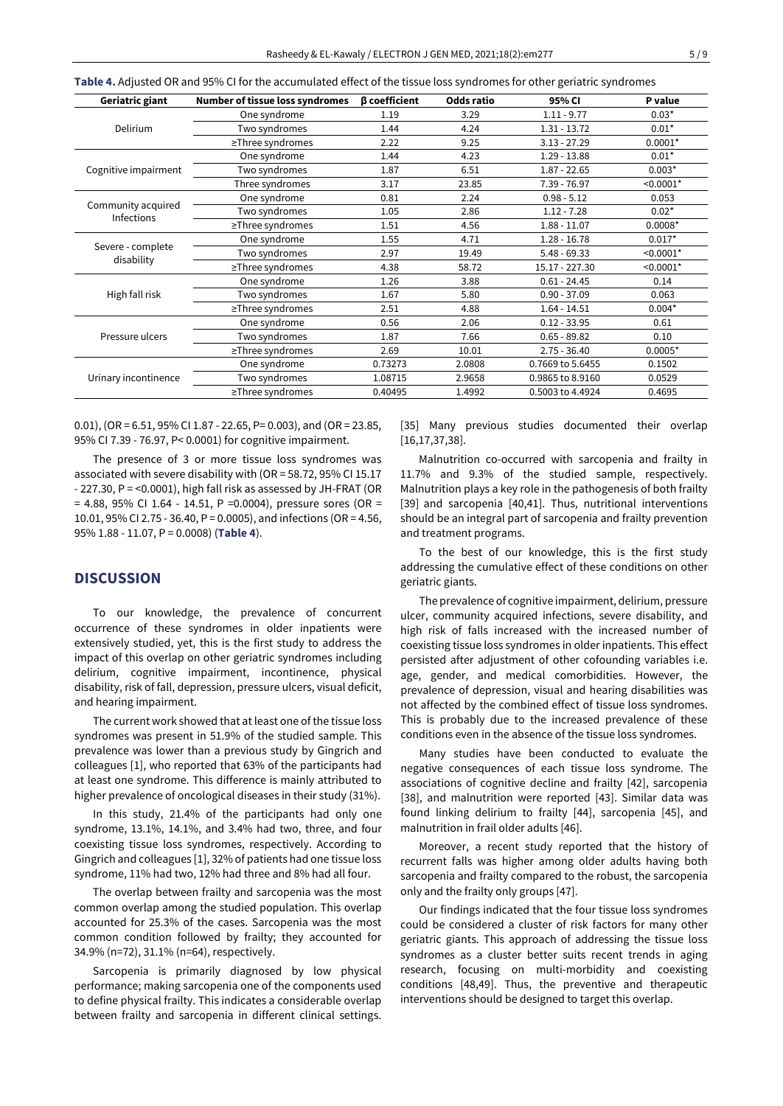| Geriatric giant                         | Number of tissue loss syndromes | <b><i>β</i></b> coefficient | Odds ratio | 95% CI           | P value     |
|-----------------------------------------|---------------------------------|-----------------------------|------------|------------------|-------------|
| Delirium                                | One syndrome                    | 1.19                        | 3.29       | $1.11 - 9.77$    | $0.03*$     |
|                                         | Two syndromes                   | 1.44                        | 4.24       | $1.31 - 13.72$   | $0.01*$     |
|                                         | ≥Three syndromes                | 2.22                        | 9.25       | $3.13 - 27.29$   | $0.0001*$   |
|                                         | One syndrome                    | 1.44                        | 4.23       | $1.29 - 13.88$   | $0.01*$     |
| Cognitive impairment                    | Two syndromes                   | 1.87                        | 6.51       | $1.87 - 22.65$   | $0.003*$    |
|                                         | Three syndromes                 | 3.17                        | 23.85      | 7.39 - 76.97     | $< 0.0001*$ |
| Community acquired<br><b>Infections</b> | One syndrome                    | 0.81                        | 2.24       | $0.98 - 5.12$    | 0.053       |
|                                         | Two syndromes                   | 1.05                        | 2.86       | $1.12 - 7.28$    | $0.02*$     |
|                                         | $\ge$ Three syndromes           | 1.51                        | 4.56       | $1.88 - 11.07$   | $0.0008*$   |
|                                         | One syndrome                    | 1.55                        | 4.71       | $1.28 - 16.78$   | $0.017*$    |
| Severe - complete<br>disability         | Two syndromes                   | 2.97                        | 19.49      | $5.48 - 69.33$   | $< 0.0001*$ |
|                                         | ≥Three syndromes                | 4.38                        | 58.72      | 15.17 - 227.30   | $< 0.0001*$ |
| High fall risk                          | One syndrome                    | 1.26                        | 3.88       | $0.61 - 24.45$   | 0.14        |
|                                         | Two syndromes                   | 1.67                        | 5.80       | $0.90 - 37.09$   | 0.063       |
|                                         | $\ge$ Three syndromes           | 2.51                        | 4.88       | $1.64 - 14.51$   | $0.004*$    |
| Pressure ulcers                         | One syndrome                    | 0.56                        | 2.06       | $0.12 - 33.95$   | 0.61        |
|                                         | Two syndromes                   | 1.87                        | 7.66       | $0.65 - 89.82$   | 0.10        |
|                                         | $\ge$ Three syndromes           | 2.69                        | 10.01      | $2.75 - 36.40$   | $0.0005*$   |
| Urinary incontinence                    | One syndrome                    | 0.73273                     | 2.0808     | 0.7669 to 5.6455 | 0.1502      |
|                                         | Two syndromes                   | 1.08715                     | 2.9658     | 0.9865 to 8.9160 | 0.0529      |
|                                         | $\ge$ Three syndromes           | 0.40495                     | 1.4992     | 0.5003 to 4.4924 | 0.4695      |

**Table 4.** Adjusted OR and 95% CI for the accumulated effect of the tissue loss syndromes for other geriatric syndromes

0.01), (OR = 6.51, 95% CI 1.87 - 22.65, P= 0.003), and (OR = 23.85, 95% CI 7.39 - 76.97, P< 0.0001) for cognitive impairment.

The presence of 3 or more tissue loss syndromes was associated with severe disability with (OR = 58.72, 95% CI 15.17 - 227.30, P = <0.0001), high fall risk as assessed by JH-FRAT (OR  $= 4.88$ , 95% CI 1.64 - 14.51, P = 0.0004), pressure sores (OR = 10.01, 95% CI 2.75 - 36.40, P = 0.0005), and infections (OR = 4.56, 95% 1.88 - 11.07, P = 0.0008) (**Table 4**).

## **DISCUSSION**

To our knowledge, the prevalence of concurrent occurrence of these syndromes in older inpatients were extensively studied, yet, this is the first study to address the impact of this overlap on other geriatric syndromes including delirium, cognitive impairment, incontinence, physical disability, risk of fall, depression, pressure ulcers, visual deficit, and hearing impairment.

The current work showed that at least one of the tissue loss syndromes was present in 51.9% of the studied sample. This prevalence was lower than a previous study by Gingrich and colleagues [1], who reported that 63% of the participants had at least one syndrome. This difference is mainly attributed to higher prevalence of oncological diseases in their study (31%).

In this study, 21.4% of the participants had only one syndrome, 13.1%, 14.1%, and 3.4% had two, three, and four coexisting tissue loss syndromes, respectively. According to Gingrich and colleagues [1], 32% of patients had one tissue loss syndrome, 11% had two, 12% had three and 8% had all four.

The overlap between frailty and sarcopenia was the most common overlap among the studied population. This overlap accounted for 25.3% of the cases. Sarcopenia was the most common condition followed by frailty; they accounted for 34.9% (n=72), 31.1% (n=64), respectively.

Sarcopenia is primarily diagnosed by low physical performance; making sarcopenia one of the components used to define physical frailty. This indicates a considerable overlap between frailty and sarcopenia in different clinical settings. [35] Many previous studies documented their overlap [16,17,37,38].

Malnutrition co-occurred with sarcopenia and frailty in 11.7% and 9.3% of the studied sample, respectively. Malnutrition plays a key role in the pathogenesis of both frailty [39] and sarcopenia [40,41]. Thus, nutritional interventions should be an integral part of sarcopenia and frailty prevention and treatment programs.

To the best of our knowledge, this is the first study addressing the cumulative effect of these conditions on other geriatric giants.

The prevalence of cognitive impairment, delirium, pressure ulcer, community acquired infections, severe disability, and high risk of falls increased with the increased number of coexisting tissue loss syndromes in older inpatients. This effect persisted after adjustment of other cofounding variables i.e. age, gender, and medical comorbidities. However, the prevalence of depression, visual and hearing disabilities was not affected by the combined effect of tissue loss syndromes. This is probably due to the increased prevalence of these conditions even in the absence of the tissue loss syndromes.

Many studies have been conducted to evaluate the negative consequences of each tissue loss syndrome. The associations of cognitive decline and frailty [42], sarcopenia [38], and malnutrition were reported [43]. Similar data was found linking delirium to frailty [44], sarcopenia [45], and malnutrition in frail older adults [46].

Moreover, a recent study reported that the history of recurrent falls was higher among older adults having both sarcopenia and frailty compared to the robust, the sarcopenia only and the frailty only groups [47].

Our findings indicated that the four tissue loss syndromes could be considered a cluster of risk factors for many other geriatric giants. This approach of addressing the tissue loss syndromes as a cluster better suits recent trends in aging research, focusing on multi-morbidity and coexisting conditions [48,49]. Thus, the preventive and therapeutic interventions should be designed to target this overlap.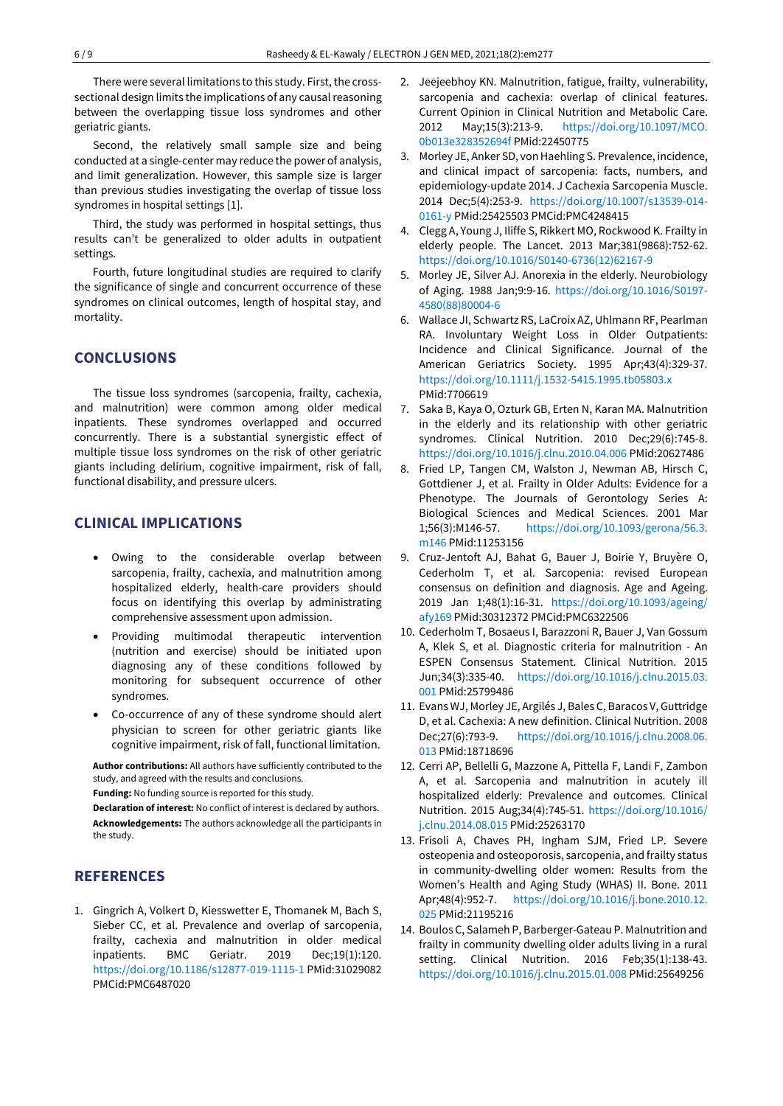There were several limitations to this study. First, the crosssectional design limits the implications of any causal reasoning between the overlapping tissue loss syndromes and other geriatric giants.

Second, the relatively small sample size and being conducted at a single-center may reduce the power of analysis, and limit generalization. However, this sample size is larger than previous studies investigating the overlap of tissue loss syndromes in hospital settings [1].

Third, the study was performed in hospital settings, thus results can't be generalized to older adults in outpatient settings.

Fourth, future longitudinal studies are required to clarify the significance of single and concurrent occurrence of these syndromes on clinical outcomes, length of hospital stay, and mortality.

# **CONCLUSIONS**

The tissue loss syndromes (sarcopenia, frailty, cachexia, and malnutrition) were common among older medical inpatients. These syndromes overlapped and occurred concurrently. There is a substantial synergistic effect of multiple tissue loss syndromes on the risk of other geriatric giants including delirium, cognitive impairment, risk of fall, functional disability, and pressure ulcers.

## **CLINICAL IMPLICATIONS**

- Owing to the considerable overlap between sarcopenia, frailty, cachexia, and malnutrition among hospitalized elderly, health-care providers should focus on identifying this overlap by administrating comprehensive assessment upon admission.
- Providing multimodal therapeutic intervention (nutrition and exercise) should be initiated upon diagnosing any of these conditions followed by monitoring for subsequent occurrence of other syndromes.
- Co-occurrence of any of these syndrome should alert physician to screen for other geriatric giants like cognitive impairment, risk of fall, functional limitation.

**Author contributions:** All authors have sufficiently contributed to the study, and agreed with the results and conclusions.

**Funding:** No funding source is reported for this study.

**Declaration of interest:** No conflict of interest is declared by authors. **Acknowledgements:** The authors acknowledge all the participants in the study.

# **REFERENCES**

1. Gingrich A, Volkert D, Kiesswetter E, Thomanek M, Bach S, Sieber CC, et al. Prevalence and overlap of sarcopenia, frailty, cachexia and malnutrition in older medical inpatients. BMC Geriatr. 2019 Dec;19(1):120. <https://doi.org/10.1186/s12877-019-1115-1> PMid:31029082 PMCid:PMC6487020

- 2. Jeejeebhoy KN. Malnutrition, fatigue, frailty, vulnerability, sarcopenia and cachexia: overlap of clinical features. Current Opinion in Clinical Nutrition and Metabolic Care. 2012 May;15(3):213-9. [https://doi.org/10.1097/MCO.](https://doi.org/10.1097/MCO.0b013e328352694f) [0b013e328352694f](https://doi.org/10.1097/MCO.0b013e328352694f) PMid:22450775
- 3. Morley JE, Anker SD, von Haehling S. Prevalence, incidence, and clinical impact of sarcopenia: facts, numbers, and epidemiology-update 2014. J Cachexia Sarcopenia Muscle. 2014 Dec;5(4):253-9. [https://doi.org/10.1007/s13539-014-](https://doi.org/10.1007/s13539-014-0161-y) [0161-y](https://doi.org/10.1007/s13539-014-0161-y) PMid:25425503 PMCid:PMC4248415
- 4. Clegg A, Young J, Iliffe S, Rikkert MO, Rockwood K. Frailty in elderly people. The Lancet. 2013 Mar;381(9868):752-62. [https://doi.org/10.1016/S0140-6736\(12\)62167-9](https://doi.org/10.1016/S0140-6736(12)62167-9)
- 5. Morley JE, Silver AJ. Anorexia in the elderly. Neurobiology of Aging. 1988 Jan;9:9-16. [https://doi.org/10.1016/S0197-](https://doi.org/10.1016/S0197-4580(88)80004-6) [4580\(88\)80004-6](https://doi.org/10.1016/S0197-4580(88)80004-6)
- 6. Wallace JI, Schwartz RS, LaCroix AZ, Uhlmann RF, Pearlman RA. Involuntary Weight Loss in Older Outpatients: Incidence and Clinical Significance. Journal of the American Geriatrics Society. 1995 Apr;43(4):329-37. <https://doi.org/10.1111/j.1532-5415.1995.tb05803.x> PMid:7706619
- 7. Saka B, Kaya O, Ozturk GB, Erten N, Karan MA. Malnutrition in the elderly and its relationship with other geriatric syndromes. Clinical Nutrition. 2010 Dec;29(6):745-8. <https://doi.org/10.1016/j.clnu.2010.04.006> PMid:20627486
- 8. Fried LP, Tangen CM, Walston J, Newman AB, Hirsch C, Gottdiener J, et al. Frailty in Older Adults: Evidence for a Phenotype. The Journals of Gerontology Series A: Biological Sciences and Medical Sciences. 2001 Mar 1;56(3):M146-57. [https://doi.org/10.1093/gerona/56.3.](https://doi.org/10.1093/gerona/56.3.m146) [m146](https://doi.org/10.1093/gerona/56.3.m146) PMid:11253156
- 9. Cruz-Jentoft AJ, Bahat G, Bauer J, Boirie Y, Bruyère O, Cederholm T, et al. Sarcopenia: revised European consensus on definition and diagnosis. Age and Ageing. 2019 Jan 1;48(1):16-31. [https://doi.org/10.1093/ageing/](https://doi.org/10.1093/ageing/afy169) [afy169](https://doi.org/10.1093/ageing/afy169) PMid:30312372 PMCid:PMC6322506
- 10. Cederholm T, Bosaeus I, Barazzoni R, Bauer J, Van Gossum A, Klek S, et al. Diagnostic criteria for malnutrition - An ESPEN Consensus Statement. Clinical Nutrition. 2015 Jun;34(3):335-40. [https://doi.org/10.1016/j.clnu.2015.03.](https://doi.org/10.1016/j.clnu.2015.03.001) [001](https://doi.org/10.1016/j.clnu.2015.03.001) PMid:25799486
- 11. Evans WJ, Morley JE, Argilés J, Bales C, Baracos V, Guttridge D, et al. Cachexia: A new definition. Clinical Nutrition. 2008 Dec;27(6):793-9. [https://doi.org/10.1016/j.clnu.2008.06.](https://doi.org/10.1016/j.clnu.2008.06.013) [013](https://doi.org/10.1016/j.clnu.2008.06.013) PMid:18718696
- 12. Cerri AP, Bellelli G, Mazzone A, Pittella F, Landi F, Zambon A, et al. Sarcopenia and malnutrition in acutely ill hospitalized elderly: Prevalence and outcomes. Clinical Nutrition. 2015 Aug;34(4):745-51. [https://doi.org/10.1016/](https://doi.org/10.1016/j.clnu.2014.08.015) [j.clnu.2014.08.015](https://doi.org/10.1016/j.clnu.2014.08.015) PMid:25263170
- 13. Frisoli A, Chaves PH, Ingham SJM, Fried LP. Severe osteopenia and osteoporosis, sarcopenia, and frailty status in community-dwelling older women: Results from the Women's Health and Aging Study (WHAS) II. Bone. 2011 Apr;48(4):952-7. [https://doi.org/10.1016/j.bone.2010.12.](https://doi.org/10.1016/j.bone.2010.12.025) [025](https://doi.org/10.1016/j.bone.2010.12.025) PMid:21195216
- 14. Boulos C, Salameh P, Barberger-Gateau P. Malnutrition and frailty in community dwelling older adults living in a rural setting. Clinical Nutrition. 2016 Feb;35(1):138-43. <https://doi.org/10.1016/j.clnu.2015.01.008> PMid:25649256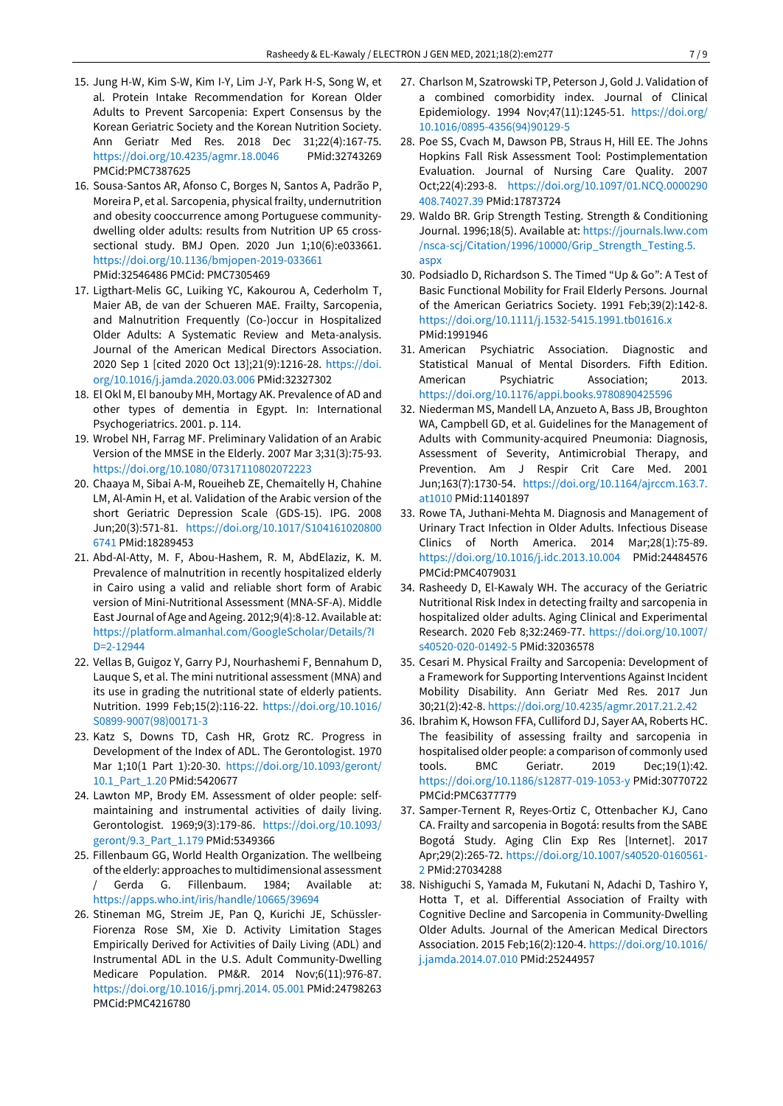- 15. Jung H-W, Kim S-W, Kim I-Y, Lim J-Y, Park H-S, Song W, et al. Protein Intake Recommendation for Korean Older Adults to Prevent Sarcopenia: Expert Consensus by the Korean Geriatric Society and the Korean Nutrition Society. Ann Geriatr Med Res. 2018 Dec 31;22(4):167-75. <https://doi.org/10.4235/agmr.18.0046> PMid:32743269 PMCid:PMC7387625
- 16. Sousa-Santos AR, Afonso C, Borges N, Santos A, Padrão P, Moreira P, et al. Sarcopenia, physical frailty, undernutrition and obesity cooccurrence among Portuguese communitydwelling older adults: results from Nutrition UP 65 crosssectional study. BMJ Open. 2020 Jun 1;10(6):e033661. <https://doi.org/10.1136/bmjopen-2019-033661> PMid:32546486 PMCid: PMC7305469
- 17. Ligthart-Melis GC, Luiking YC, Kakourou A, Cederholm T, Maier AB, de van der Schueren MAE. Frailty, Sarcopenia, and Malnutrition Frequently (Co-)occur in Hospitalized Older Adults: A Systematic Review and Meta-analysis. Journal of the American Medical Directors Association. 2020 Sep 1 [cited 2020 Oct 13];21(9):1216-28. [https://doi.](https://doi.org/10.1016/j.jamda.2020.03.006) [org/10.1016/j.jamda.2020.03.006](https://doi.org/10.1016/j.jamda.2020.03.006) PMid:32327302
- 18. El Okl M, El banouby MH, Mortagy AK. Prevalence of AD and other types of dementia in Egypt. In: International Psychogeriatrics. 2001. p. 114.
- 19. Wrobel NH, Farrag MF. Preliminary Validation of an Arabic Version of the MMSE in the Elderly. 2007 Mar 3;31(3):75-93. <https://doi.org/10.1080/07317110802072223>
- 20. Chaaya M, Sibai A-M, Roueiheb ZE, Chemaitelly H, Chahine LM, Al-Amin H, et al. Validation of the Arabic version of the short Geriatric Depression Scale (GDS-15). IPG. 2008 Jun;20(3):571-81. [https://doi.org/10.1017/S104161020800](https://doi.org/10.1017/S1041610208006741) [6741](https://doi.org/10.1017/S1041610208006741) PMid:18289453
- 21. Abd-Al-Atty, M. F, Abou-Hashem, R. M, AbdElaziz, K. M. Prevalence of malnutrition in recently hospitalized elderly in Cairo using a valid and reliable short form of Arabic version of Mini-Nutritional Assessment (MNA-SF-A). Middle East Journal of Age and Ageing. 2012;9(4):8-12. Available at: [https://platform.almanhal.com/GoogleScholar/Details/?I](https://platform.almanhal.com/GoogleScholar/Details/?ID=2-12944) [D=2-12944](https://platform.almanhal.com/GoogleScholar/Details/?ID=2-12944)
- 22. Vellas B, Guigoz Y, Garry PJ, Nourhashemi F, Bennahum D, Lauque S, et al. The mini nutritional assessment (MNA) and its use in grading the nutritional state of elderly patients. Nutrition. 1999 Feb;15(2):116-22. [https://doi.org/10.1016/](https://doi.org/10.1016/S0899-9007(98)00171-3) [S0899-9007\(98\)00171-3](https://doi.org/10.1016/S0899-9007(98)00171-3)
- 23. Katz S, Downs TD, Cash HR, Grotz RC. Progress in Development of the Index of ADL. The Gerontologist. 1970 Mar 1;10(1 Part 1):20-30. [https://doi.org/10.1093/geront/](https://doi.org/10.1093/geront/10.1_Part_1.20) [10.1\\_Part\\_1.20](https://doi.org/10.1093/geront/10.1_Part_1.20) PMid:5420677
- 24. Lawton MP, Brody EM. Assessment of older people: selfmaintaining and instrumental activities of daily living. Gerontologist. 1969;9(3):179-86. [https://doi.org/10.1093/](https://doi.org/10.1093/geront/9.3_Part_1.179) [geront/9.3\\_Part\\_1.179](https://doi.org/10.1093/geront/9.3_Part_1.179) PMid:5349366
- 25. Fillenbaum GG, World Health Organization. The wellbeing ofthe elderly: approaches to multidimensional assessment Gerda G. Fillenbaum. 1984; Available at: <https://apps.who.int/iris/handle/10665/39694>
- 26. Stineman MG, Streim JE, Pan Q, Kurichi JE, Schüssler-Fiorenza Rose SM, Xie D. Activity Limitation Stages Empirically Derived for Activities of Daily Living (ADL) and Instrumental ADL in the U.S. Adult Community-Dwelling Medicare Population. PM&R. 2014 Nov;6(11):976-87. [https://doi.org/10.1016/j.pmrj.2014. 05.001](https://doi.org/10.1016/j.pmrj.2014.%2005.001) PMid:24798263 PMCid:PMC4216780
- 27. Charlson M, Szatrowski TP, Peterson J, Gold J. Validation of a combined comorbidity index. Journal of Clinical Epidemiology. 1994 Nov;47(11):1245-51. [https://doi.org/](https://doi.org/10.1016/0895-4356(94)90129-5) [10.1016/0895-4356\(94\)90129-5](https://doi.org/10.1016/0895-4356(94)90129-5)
- 28. Poe SS, Cvach M, Dawson PB, Straus H, Hill EE. The Johns Hopkins Fall Risk Assessment Tool: Postimplementation Evaluation. Journal of Nursing Care Quality. 2007 Oct;22(4):293-8. [https://doi.org/10.1097/01.NCQ.0000290](https://doi.org/10.1097/01.NCQ.0000290408.74027.39) [408.74027.39](https://doi.org/10.1097/01.NCQ.0000290408.74027.39) PMid:17873724
- 29. Waldo BR. Grip Strength Testing. Strength & Conditioning Journal. 1996;18(5). Available at[: https://journals.lww.com](https://journals.lww.com/nsca-scj/Citation/1996/10000/Grip_Strength_Testing.5.aspx) [/nsca-scj/Citation/1996/10000/Grip\\_Strength\\_Testing.5.](https://journals.lww.com/nsca-scj/Citation/1996/10000/Grip_Strength_Testing.5.aspx) [aspx](https://journals.lww.com/nsca-scj/Citation/1996/10000/Grip_Strength_Testing.5.aspx)
- 30. Podsiadlo D, Richardson S. The Timed "Up & Go": A Test of Basic Functional Mobility for Frail Elderly Persons. Journal of the American Geriatrics Society. 1991 Feb;39(2):142-8. <https://doi.org/10.1111/j.1532-5415.1991.tb01616.x> PMid:1991946
- 31. American Psychiatric Association. Diagnostic and Statistical Manual of Mental Disorders. Fifth Edition. American Psychiatric Association; 2013. <https://doi.org/10.1176/appi.books.9780890425596>
- 32. Niederman MS, Mandell LA, Anzueto A, Bass JB, Broughton WA, Campbell GD, et al. Guidelines for the Management of Adults with Community-acquired Pneumonia: Diagnosis, Assessment of Severity, Antimicrobial Therapy, and Prevention. Am J Respir Crit Care Med. 2001 Jun;163(7):1730-54. [https://doi.org/10.1164/ajrccm.163.7.](https://doi.org/10.1164/ajrccm.163.7.at1010) [at1010](https://doi.org/10.1164/ajrccm.163.7.at1010) PMid:11401897
- 33. Rowe TA, Juthani-Mehta M. Diagnosis and Management of Urinary Tract Infection in Older Adults. Infectious Disease Clinics of North America. 2014 Mar;28(1):75-89. <https://doi.org/10.1016/j.idc.2013.10.004> PMid:24484576 PMCid:PMC4079031
- 34. Rasheedy D, El-Kawaly WH. The accuracy of the Geriatric Nutritional Risk Index in detecting frailty and sarcopenia in hospitalized older adults. Aging Clinical and Experimental Research. 2020 Feb 8;32:2469-77. [https://doi.org/10.1007/](https://doi.org/10.1007/s40520-020-01492-5) [s40520-020-01492-5](https://doi.org/10.1007/s40520-020-01492-5) PMid:32036578
- 35. Cesari M. Physical Frailty and Sarcopenia: Development of a Framework for Supporting Interventions Against Incident Mobility Disability. Ann Geriatr Med Res. 2017 Jun 30;21(2):42-8. <https://doi.org/10.4235/agmr.2017.21.2.42>
- 36. Ibrahim K, Howson FFA, Culliford DJ, Sayer AA, Roberts HC. The feasibility of assessing frailty and sarcopenia in hospitalised older people: a comparison of commonly used tools. BMC Geriatr. 2019 Dec;19(1):42. <https://doi.org/10.1186/s12877-019-1053-y> PMid:30770722 PMCid:PMC6377779
- 37. Samper-Ternent R, Reyes-Ortiz C, Ottenbacher KJ, Cano CA. Frailty and sarcopenia in Bogotá: results from the SABE Bogotá Study. Aging Clin Exp Res [Internet]. 2017 Apr;29(2):265-72. [https://doi.org/10.1007/s40520-0160561-](https://doi.org/10.1007/s40520-0160561-2) [2](https://doi.org/10.1007/s40520-0160561-2) PMid:27034288
- 38. Nishiguchi S, Yamada M, Fukutani N, Adachi D, Tashiro Y, Hotta T, et al. Differential Association of Frailty with Cognitive Decline and Sarcopenia in Community-Dwelling Older Adults. Journal of the American Medical Directors Association. 2015 Feb;16(2):120-4. [https://doi.org/10.1016/](https://doi.org/10.1016/j.jamda.2014.07.010) [j.jamda.2014.07.010](https://doi.org/10.1016/j.jamda.2014.07.010) PMid:25244957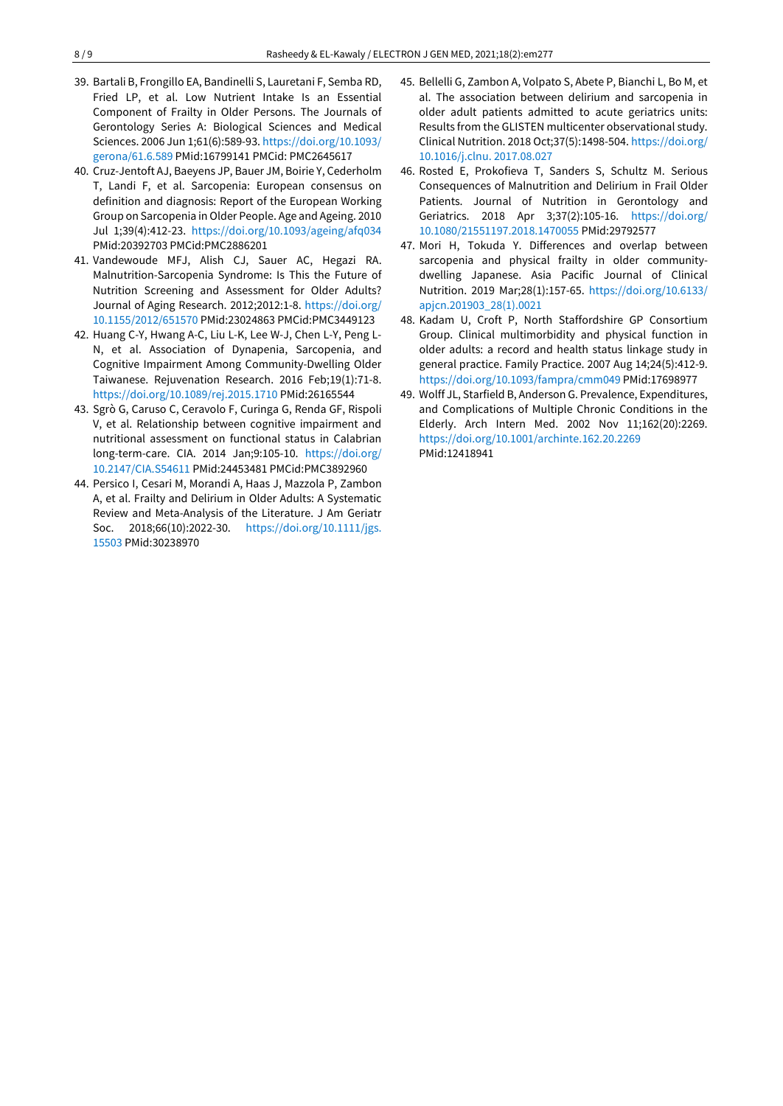- 39. Bartali B, Frongillo EA, Bandinelli S, Lauretani F, Semba RD, Fried LP, et al. Low Nutrient Intake Is an Essential Component of Frailty in Older Persons. The Journals of Gerontology Series A: Biological Sciences and Medical Sciences. 2006 Jun 1;61(6):589-93. [https://doi.org/10.1093/](https://doi.org/10.1093/gerona/61.6.589) [gerona/61.6.589](https://doi.org/10.1093/gerona/61.6.589) PMid:16799141 PMCid: PMC2645617
- 40. Cruz-Jentoft AJ, Baeyens JP, Bauer JM, Boirie Y, Cederholm T, Landi F, et al. Sarcopenia: European consensus on definition and diagnosis: Report of the European Working Group on Sarcopenia inOlder People. Age and Ageing. 2010 Jul 1;39(4):412-23. <https://doi.org/10.1093/ageing/afq034> PMid:20392703 PMCid:PMC2886201
- 41. Vandewoude MFJ, Alish CJ, Sauer AC, Hegazi RA. Malnutrition-Sarcopenia Syndrome: Is This the Future of Nutrition Screening and Assessment for Older Adults? Journal of Aging Research. 2012;2012:1-8. [https://doi.org/](https://doi.org/10.1155/2012/651570) [10.1155/2012/651570](https://doi.org/10.1155/2012/651570) PMid:23024863 PMCid:PMC3449123
- 42. Huang C-Y, Hwang A-C, Liu L-K, Lee W-J, Chen L-Y, Peng L-N, et al. Association of Dynapenia, Sarcopenia, and Cognitive Impairment Among Community-Dwelling Older Taiwanese. Rejuvenation Research. 2016 Feb;19(1):71-8. <https://doi.org/10.1089/rej.2015.1710> PMid:26165544
- 43. Sgrò G, Caruso C, Ceravolo F, Curinga G, Renda GF, Rispoli V, et al. Relationship between cognitive impairment and nutritional assessment on functional status in Calabrian long-term-care. CIA. 2014 Jan;9:105-10. [https://doi.org/](https://doi.org/10.2147/CIA.S54611) [10.2147/CIA.S54611](https://doi.org/10.2147/CIA.S54611) PMid:24453481 PMCid:PMC3892960
- 44. Persico I, Cesari M, Morandi A, Haas J, Mazzola P, Zambon A, et al. Frailty and Delirium in Older Adults: A Systematic Review and Meta-Analysis of the Literature. J Am Geriatr Soc. 2018;66(10):2022-30. [https://doi.org/10.1111/jgs.](https://doi.org/10.1111/jgs.15503) [15503](https://doi.org/10.1111/jgs.15503) PMid:30238970
- 45. Bellelli G, Zambon A, Volpato S, Abete P, Bianchi L, Bo M, et al. The association between delirium and sarcopenia in older adult patients admitted to acute geriatrics units: Results from the GLISTEN multicenter observational study. Clinical Nutrition. 2018 Oct;37(5):1498-504. [https://doi.org/](https://doi.org/10.1016/j.clnu.%202017.08.027) [10.1016/j.clnu. 2017.08.027](https://doi.org/10.1016/j.clnu.%202017.08.027)
- 46. Rosted E, Prokofieva T, Sanders S, Schultz M. Serious Consequences of Malnutrition and Delirium in Frail Older Patients. Journal of Nutrition in Gerontology and Geriatrics. 2018 Apr 3;37(2):105-16. [https://doi.org/](https://doi.org/10.1080/21551197.2018.1470055) [10.1080/21551197.2018.1470055](https://doi.org/10.1080/21551197.2018.1470055) PMid:29792577
- 47. Mori H, Tokuda Y. Differences and overlap between sarcopenia and physical frailty in older communitydwelling Japanese. Asia Pacific Journal of Clinical Nutrition. 2019 Mar;28(1):157-65. [https://doi.org/10.6133/](https://doi.org/10.6133/apjcn.201903_28(1).0021) [apjcn.201903\\_28\(1\).0021](https://doi.org/10.6133/apjcn.201903_28(1).0021)
- 48. Kadam U, Croft P, North Staffordshire GP Consortium Group. Clinical multimorbidity and physical function in older adults: a record and health status linkage study in general practice. Family Practice. 2007 Aug 14;24(5):412-9. <https://doi.org/10.1093/fampra/cmm049> PMid:17698977
- 49. Wolff JL, Starfield B, Anderson G. Prevalence, Expenditures, and Complications of Multiple Chronic Conditions in the Elderly. Arch Intern Med. 2002 Nov 11;162(20):2269. <https://doi.org/10.1001/archinte.162.20.2269> PMid:12418941